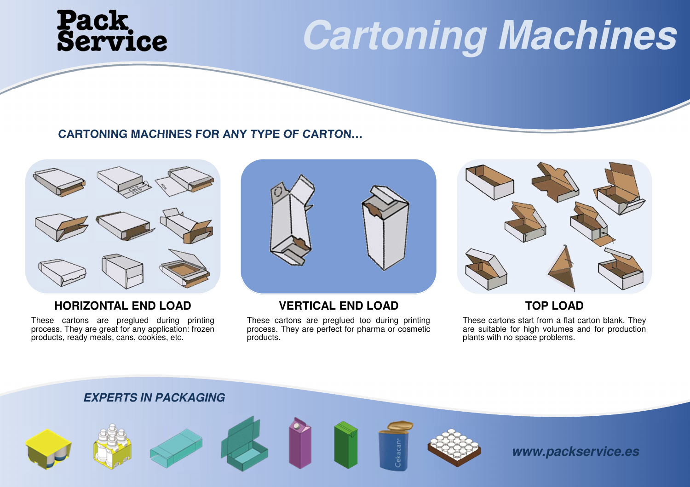# **Pack<br>Service**

### **Cartoning Machines**

### **CARTONING MACHINES FOR ANY TYPE OF CARTON…**



### **HORIZONTAL END LOAD**

 These cartons are preglued during printing process. They are great for any application: frozenproducts, ready meals, cans, cookies, etc.



### **VERTICAL END LOAD**

 These cartons are preglued too during printing process. They are perfect for pharma or cosmeticproducts.



### **TOP LOAD**

 These cartons start from <sup>a</sup> flat carton blank. They are suitable for high volumes and for productionplants with no space problems.



**www.packservice.es**